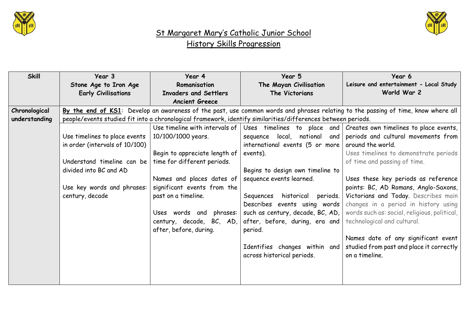



| <b>Skill</b>  | Year 3                                                                                                       | Year 4                             | Year 5                              | Year 6                                                                                                                            |  |
|---------------|--------------------------------------------------------------------------------------------------------------|------------------------------------|-------------------------------------|-----------------------------------------------------------------------------------------------------------------------------------|--|
|               | Stone Age to Iron Age                                                                                        | Romanisation                       | The Mayan Civilisation              | Leisure and entertainment - Local Study                                                                                           |  |
|               | <b>Early Civilisations</b>                                                                                   | <b>Invaders and Settlers</b>       | The Victorians                      | World War 2                                                                                                                       |  |
|               |                                                                                                              | <b>Ancient Greece</b>              |                                     |                                                                                                                                   |  |
| Chronological |                                                                                                              |                                    |                                     | By the end of KS1: Develop an awareness of the past, use common words and phrases relating to the passing of time, know where all |  |
| understanding | people/events studied fit into a chronological framework, identify similarities/differences between periods. |                                    |                                     |                                                                                                                                   |  |
|               |                                                                                                              | Use timeline with intervals of $ $ | Uses timelines to place and         | Creates own timelines to place events,                                                                                            |  |
|               | Use timelines to place events                                                                                | 10/100/1000 years.                 | sequence local, national<br>and     | periods and cultural movements from                                                                                               |  |
|               | in order (intervals of 10/100)                                                                               |                                    | international events (5 or more     | around the world.                                                                                                                 |  |
|               |                                                                                                              | Begin to appreciate length of      | events).                            | Uses timelines to demonstrate periods                                                                                             |  |
|               | Understand timeline can be                                                                                   | time for different periods.        |                                     | of time and passing of time.                                                                                                      |  |
|               | divided into BC and AD                                                                                       |                                    | Begins to design own timeline to    |                                                                                                                                   |  |
|               |                                                                                                              | Names and places dates of          | sequence events learned.            | Uses these key periods as reference                                                                                               |  |
|               | Use key words and phrases:                                                                                   | significant events from the        |                                     | points: BC, AD Romans, Anglo-Saxons,                                                                                              |  |
|               | century, decade                                                                                              | past on a timeline.                | historical<br>Sequences<br>periods. | Victorians and Today. Describes main                                                                                              |  |
|               |                                                                                                              |                                    | Describes events using words        | changes in a period in history using                                                                                              |  |
|               |                                                                                                              | phrases:<br>Uses words and         | such as century, decade, BC, AD,    | words such as: social, religious, political,                                                                                      |  |
|               |                                                                                                              | century, decade, BC, AD,           | after, before, during, era and      | technological and cultural.                                                                                                       |  |
|               |                                                                                                              | after, before, during.             | period.                             |                                                                                                                                   |  |
|               |                                                                                                              |                                    |                                     | Names date of any significant event                                                                                               |  |
|               |                                                                                                              |                                    | Identifies changes within and       | studied from past and place it correctly                                                                                          |  |
|               |                                                                                                              |                                    | across historical periods.          | on a timeline.                                                                                                                    |  |
|               |                                                                                                              |                                    |                                     |                                                                                                                                   |  |
|               |                                                                                                              |                                    |                                     |                                                                                                                                   |  |
|               |                                                                                                              |                                    |                                     |                                                                                                                                   |  |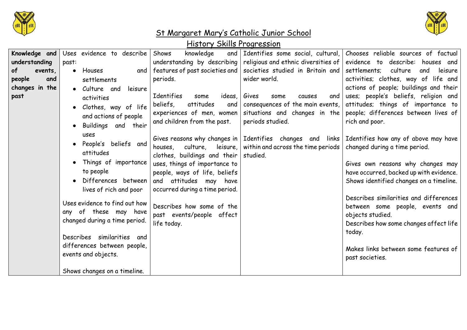



| Knowledge and  | Uses evidence to describe     | Shows<br>knowledge<br>and      |                                                                    | Identifies some social, cultural, Chooses reliable sources of factual                              |
|----------------|-------------------------------|--------------------------------|--------------------------------------------------------------------|----------------------------------------------------------------------------------------------------|
| understanding  | past:                         |                                |                                                                    | understanding by describing religious and ethnic diversities of evidence to describe: houses and   |
| of<br>events,  | • Houses<br>and               | features of past societies and | societies studied in Britain and                                   | settlements;<br>culture<br>leisure<br>and                                                          |
| people<br>and  | settlements                   | periods.                       | wider world.                                                       | activities; clothes, way of life and                                                               |
| changes in the | • Culture and<br>leisure      |                                |                                                                    | actions of people; buildings and their                                                             |
| past           | activities                    | Identifies<br>some<br>ideas,   | Gives<br>and<br>some<br>causes                                     | uses; people's beliefs, religion and                                                               |
|                | · Clothes, way of life        | beliefs,<br>attitudes<br>and   | consequences of the main events,                                   | attitudes; things of importance to                                                                 |
|                |                               | experiences of men, women      | situations and changes in the                                      | people; differences between lives of                                                               |
|                | and actions of people         | and children from the past.    | periods studied.                                                   | rich and poor.                                                                                     |
|                | Buildings and their           |                                |                                                                    |                                                                                                    |
|                | uses                          |                                |                                                                    | Gives reasons why changes in   Identifies changes and links   Identifies how any of above may have |
|                | People's beliefs and          | houses, culture, leisure,      | within and across the time periods   changed during a time period. |                                                                                                    |
|                | attitudes                     | clothes, buildings and their   | studied.                                                           |                                                                                                    |
|                | Things of importance          | uses, things of importance to  |                                                                    | Gives own reasons why changes may                                                                  |
|                | to people                     | people, ways of life, beliefs  |                                                                    | have occurred, backed up with evidence.                                                            |
|                | Differences between           | and attitudes may have         |                                                                    | Shows identified changes on a timeline.                                                            |
|                | lives of rich and poor        | occurred during a time period. |                                                                    |                                                                                                    |
|                |                               |                                |                                                                    | Describes similarities and differences                                                             |
|                | Uses evidence to find out how | Describes how some of the      |                                                                    | between some people, events and                                                                    |
|                | any of these may have         | past events/people affect      |                                                                    | objects studied.                                                                                   |
|                | changed during a time period. | life today.                    |                                                                    | Describes how some changes affect life                                                             |
|                |                               |                                |                                                                    | today.                                                                                             |
|                | Describes similarities<br>and |                                |                                                                    |                                                                                                    |
|                | differences between people,   |                                |                                                                    | Makes links between some features of                                                               |
|                | events and objects.           |                                |                                                                    | past societies.                                                                                    |
|                |                               |                                |                                                                    |                                                                                                    |
|                | Shows changes on a timeline.  |                                |                                                                    |                                                                                                    |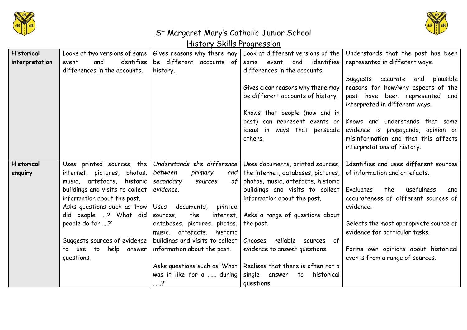



| <b>Historical</b> | Looks at two versions of same   | Gives reasons why there may     | Look at different versions of the    | Understands that the past has been                               |
|-------------------|---------------------------------|---------------------------------|--------------------------------------|------------------------------------------------------------------|
| interpretation    | identifies<br>event<br>and      | be different accounts of        | identifies<br>event<br>and<br>same   | represented in different ways.                                   |
|                   | differences in the accounts.    |                                 | differences in the accounts.         |                                                                  |
|                   |                                 | history.                        |                                      |                                                                  |
|                   |                                 |                                 |                                      | Suggests accurate and plausible                                  |
|                   |                                 |                                 | Gives clear reasons why there may    | reasons for how/why aspects of the                               |
|                   |                                 |                                 | be different accounts of history.    | past have been represented and<br>interpreted in different ways. |
|                   |                                 |                                 | Knows that people (now and in        |                                                                  |
|                   |                                 |                                 | past) can represent events or        | Knows and understands that some                                  |
|                   |                                 |                                 | ideas in ways that persuade          | evidence is propaganda, opinion or                               |
|                   |                                 |                                 | others.                              | misinformation and that this affects                             |
|                   |                                 |                                 |                                      | interpretations of history.                                      |
|                   |                                 |                                 |                                      |                                                                  |
| <b>Historical</b> | Uses printed sources, the       | Understands the difference      | Uses documents, printed sources,     | Identifies and uses different sources                            |
| enquiry           | internet, pictures, photos,     | between<br>primary<br>and       | the internet, databases, pictures,   | of information and artefacts.                                    |
|                   | music, artefacts, historic      | secondary<br>of<br>sources      | photos, music, artefacts, historic   |                                                                  |
|                   |                                 |                                 |                                      |                                                                  |
|                   | buildings and visits to collect | evidence.                       | buildings and visits to collect      | Evaluates<br>the<br>usefulness<br>and                            |
|                   | information about the past.     |                                 | information about the past.          | accurateness of different sources of                             |
|                   | Asks questions such as 'How     | Uses documents,<br>printed      |                                      | evidence.                                                        |
|                   | did people ? What did           | the<br>internet,<br>sources,    | Asks a range of questions about      |                                                                  |
|                   | people do for ?'                | databases, pictures, photos,    | the past.                            | Selects the most appropriate source of                           |
|                   |                                 | music, artefacts, historic      |                                      | evidence for particular tasks.                                   |
|                   | Suggests sources of evidence    | buildings and visits to collect | reliable<br>Chooses<br>of<br>sources |                                                                  |
|                   | to use to help answer           | information about the past.     | evidence to answer questions.        | Forms own opinions about historical                              |
|                   | questions.                      |                                 |                                      | events from a range of sources.                                  |
|                   |                                 | Asks questions such as 'What    | Realises that there is often not a   |                                                                  |
|                   |                                 | was it like for a  during       | single answer<br>historical<br>to    |                                                                  |
|                   |                                 | ……?'                            | questions                            |                                                                  |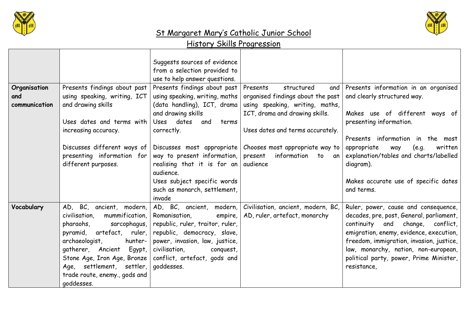



|                     |                                                                                                                                                                                                                                              | Suggests sources of evidence<br>from a selection provided to<br>use to help answer questions.                                                                                                                                                                                                |                                                                                                       |                                                                                                                                                                                                                                                                                                               |
|---------------------|----------------------------------------------------------------------------------------------------------------------------------------------------------------------------------------------------------------------------------------------|----------------------------------------------------------------------------------------------------------------------------------------------------------------------------------------------------------------------------------------------------------------------------------------------|-------------------------------------------------------------------------------------------------------|---------------------------------------------------------------------------------------------------------------------------------------------------------------------------------------------------------------------------------------------------------------------------------------------------------------|
| Organisation<br>and | Presents findings about past<br>using speaking, writing, ICT                                                                                                                                                                                 | Presents findings about past<br>using speaking, writing, maths                                                                                                                                                                                                                               | structured<br>Presents<br>and<br>organised findings about the past                                    | Presents information in an organised<br>and clearly structured way.                                                                                                                                                                                                                                           |
| communication       | and drawing skills<br>Uses dates and terms with<br>increasing accuracy.                                                                                                                                                                      | (data handling), ICT, drama<br>and drawing skills<br>dates<br>Uses<br>and<br>terms<br>correctly.                                                                                                                                                                                             | using speaking, writing, maths,<br>ICT, drama and drawing skills.<br>Uses dates and terms accurately. | Makes use of different ways of<br>presenting information.                                                                                                                                                                                                                                                     |
|                     | Discusses different ways of<br>presenting information for<br>different purposes.                                                                                                                                                             | way to present information,<br>realising that it is for an audience<br>audience.<br>Uses subject specific words<br>such as monarch, settlement,<br>invade                                                                                                                                    | Discusses most appropriate Chooses most appropriate way to<br>information to an<br>present            | Presents information in the most<br>appropriate<br>written<br>(e.g.<br>way<br>explanation/tables and charts/labelled<br>diagram).<br>Makes accurate use of specific dates<br>and terms.                                                                                                                       |
| Vocabulary          | mummification,<br>civilisation.<br>sarcophagus,<br>pharaohs,<br>ruler, l<br>artefact,<br>pyramid,<br>archaeologist,<br>hunter-<br>gatherer, Ancient<br>$E$ gypt,<br>Age, settlement, settler,<br>trade route, enemy., gods and<br>goddesses. | AD, BC, ancient, modern, AD, BC, ancient, modern,<br>Romanisation,<br>empire,<br>republic, ruler, traitor, ruler,<br>republic, democracy, slave,<br>power, invasion, law, justice,<br>civilisation,<br>conquest,<br>Stone Age, Iron Age, Bronze   conflict, artefact, gods and<br>goddesses. | Civilisation, ancient, modern, BC,<br>AD, ruler, artefact, monarchy                                   | Ruler, power, cause and consequence,<br>decades, pre, post, General, parliament,<br>continuity and change, conflict,<br>emigration, enemy, evidence, execution,<br>freedom, immigration, invasion, justice,<br>law, monarchy, nation, non-european,<br>political party, power, Prime Minister,<br>resistance, |